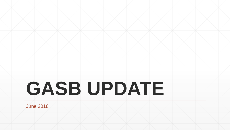# **GASB UPDATE**

June 2018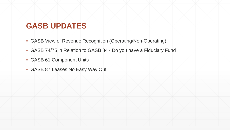#### **GASB UPDATES**

- GASB View of Revenue Recognition (Operating/Non-Operating)
- GASB 74/75 in Relation to GASB 84 Do you have a Fiduciary Fund
- GASB 61 Component Units
- GASB 87 Leases No Easy Way Out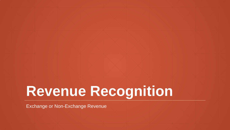## **Revenue Recognition**

Exchange or Non-Exchange Revenue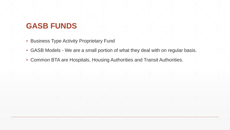#### **GASB FUNDS**

- **Business Type Activity Proprietary Fund**
- GASB Models We are a small portion of what they deal with on regular basis.
- Common BTA are Hospitals, Housing Authorities and Transit Authorities.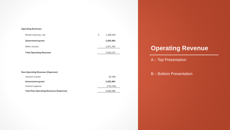#### **Operating Revenues**

| Rental revenues, net            | 1,288,450 |
|---------------------------------|-----------|
| <b>Government grants</b>        | 5,282,984 |
| Other income                    | 1,071,785 |
| <b>Total Operating Revenues</b> | 7,643,219 |

| <b>Non-Operating Revenues (Expenses)</b>       |            |
|------------------------------------------------|------------|
| Interest income                                | 82,448     |
| <b>Government grants</b>                       | 5,282,984  |
| Interest expense                               | (776, 144) |
| <b>Total Non-Operating Revenues (Expenses)</b> | 4,589,288  |

#### **Operating Revenue**

- A Top Presentation
- B Bottom Presentation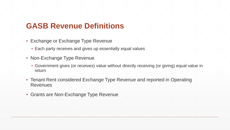#### **GASB Revenue Definitions**

- **Exchange or Exchange Type Revenue** 
	- Each party receives and gives up essentially equal values
- **Non-Exchange Type Revenue** 
	- Government gives (or receives) value without directly receiving (or giving) equal value in return
- **Tenant Rent considered Exchange Type Revenue and reported in Operating** Revenues
- **Grants are Non-Exchange Type Revenue**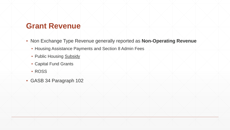#### **Grant Revenue**

- Non Exchange Type Revenue generally reported as **Non-Operating Revenue**
	- Housing Assistance Payments and Section 8 Admin Fees
	- **Public Housing Subsidy**
	- Capital Fund Grants
	- ROSS
- GASB 34 Paragraph 102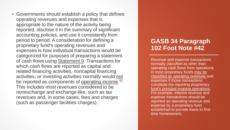**• Governments should establish a policy that defines** operating revenues and expenses that is appropriate to the nature of the activity being reported, disclose it in the summary of significant accounting policies, and use it consistently from period to period. A consideration for defining a proprietary fund's operating revenues and expenses is how individual transactions would be categorized for purposes of preparing a statement of cash flows using **Statement 9**. Transactions for which cash flows are reported as capital and related financing activities, noncapital financing activities, or investing activities normally would *not* be reported as components of <u>operating income</u>.<sup>42</sup> This includes most revenues considered to be nonexchange and exchange-like, such as tax revenues and, in some cases, fees and charges (such as passenger facilities charges).

#### **GASB 34 Paragraph 102 Foot Note #42**

Revenue and expense transactions normally classified as other than operating cash flows from operations in most proprietary funds may be classified as operating revenues and expenses if those transactions constitute the reporting proprietary fund's principal ongoing operations. For example, interest revenue and expense transactions should be reported as operating revenue and expense by a proprietary fund established to provide loans to firsttime homeowners.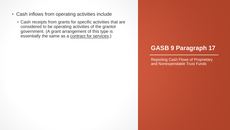- Cash inflows from operating activities include
	- Cash receipts from grants for specific activities that are considered to be operating activities of the grantor government. (A grant arrangement of this type is essentially the same as a contract for services.)

#### **GASB 9 Paragraph 17**

Reporting Cash Flows of Proprietary and Nonexpendable Trust Funds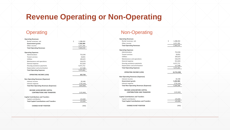### **Revenue Operating or Non-Operating**

#### **Operating**

| <b>Operating Revenues</b>                        |                 |  | <b>Operating Revenues</b>                        |    |             |  |
|--------------------------------------------------|-----------------|--|--------------------------------------------------|----|-------------|--|
| Rental revenues, net                             | Ś.<br>1,288,450 |  | Rental revenues, net                             | Ŝ. | 1,288,450   |  |
| Government grants                                | 5,282,984       |  | Other income                                     |    | 1,071,785   |  |
| Other income                                     | 1,071,785       |  | <b>Total Operating Revenues</b>                  |    | 2,360,235   |  |
| <b>Total Operating Revenues</b>                  | 7,643,219       |  |                                                  |    |             |  |
|                                                  |                 |  | <b>Operating Expenses</b>                        |    |             |  |
| <b>Operating Expenses</b>                        |                 |  | Administration                                   |    | 752,036     |  |
| Administration                                   | 752,036         |  | <b>Tenant services</b>                           |    | 18,831      |  |
| Tenant services                                  | 18,831          |  | Utilities                                        |    | 183,625     |  |
| Utilities                                        | 183,625         |  | Maintenance and operations                       |    | 518,370     |  |
| Maintenance and operations                       | 518,370         |  | General expense                                  |    | 913,303     |  |
| General expense                                  | 913,303         |  | Housing assistance payments                      |    | 4,471,712   |  |
| Housing assistance payments                      | 4,471,712       |  | Depreciation and amortization                    |    | 217,586     |  |
| Depreciation and amortization                    | 217,586         |  | <b>Total Operating Expenses</b>                  |    | 7,075,463   |  |
| <b>Total Operating Expenses</b>                  | 7,075,463       |  |                                                  |    |             |  |
|                                                  |                 |  | <b>OPERATING INCOME (LOSS)</b>                   |    | (4,715,228) |  |
| <b>OPERATING INCOME (LOSS)</b>                   | 567,756         |  |                                                  |    |             |  |
|                                                  |                 |  | <b>Non-Operating Revenues (Expenses)</b>         |    |             |  |
| <b>Non-Operating Revenues (Expenses)</b>         |                 |  | Interest income                                  |    | 82,448      |  |
| Interest income                                  | 82,448          |  | Government grants                                |    | 5,282,984   |  |
| Interest expense                                 | (776, 144)      |  | Interest expense                                 |    | (776, 144)  |  |
| <b>Total Non-Operating Revenues (Expenses)</b>   | (693, 696)      |  | <b>Total Non-Operating Revenues (Expenses)</b>   |    | 4,589,288   |  |
|                                                  |                 |  |                                                  |    |             |  |
| <b>INCOME (LOSS) BEFORE CAPITAL</b>              |                 |  | INCOME (LOSS) BEFORE CAPITAL                     |    |             |  |
| <b>CONTRIBUTIONS AND TRANSFERS</b>               | (125, 940)      |  | <b>CONTRIBUTIONS AND TRANSFERS</b>               |    | (125, 940)  |  |
|                                                  |                 |  |                                                  |    |             |  |
| <b>Capital Contributions and Transfers</b>       |                 |  | <b>Capital Contributions and Transfers</b>       |    |             |  |
| Capital contribution                             | 125,000         |  | Capital contribution                             |    | 125,000     |  |
| <b>Total Capital Contributions and Transfers</b> | 125,000         |  | <b>Total Capital Contributions and Transfers</b> |    | 125,000     |  |
|                                                  |                 |  |                                                  |    |             |  |
| <b>CHANGE IN NET POSITION</b>                    | (940)           |  | <b>CHANGE IN NET POSITION</b>                    |    | (940)       |  |
|                                                  |                 |  |                                                  |    |             |  |

#### Non-Operating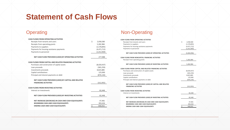#### **Statement of Cash Flows**

| <b>CASH FLOWS FROM OPFRATING ACTIVITIES</b>                     |         |               |  |
|-----------------------------------------------------------------|---------|---------------|--|
| Receipts from tenants and users                                 | Ś       | 2,058,580     |  |
| Receipts from operating grants                                  |         | 5,282,984     |  |
| Payments to suppliers                                           |         | (1,578,895)   |  |
| Payments for housing assistance payments                        |         | (4, 471, 712) |  |
| Payments to personnel                                           |         | (1,012,969)   |  |
| NET CASH FLOW PROVIDED (USED) BY OPERATING ACTIVITIES           |         | 277,988       |  |
| <b>CASH FLOWS FROM CAPITAL AND RELATED FINANCING ACTIVITIES</b> |         |               |  |
| Purchases and construction of capital assets                    |         | (8,020,437)   |  |
| Loan proceeds                                                   |         | (365, 259)    |  |
| Investments proceeds                                            |         | 8,823,885     |  |
| Capital contributions                                           |         | 125,000       |  |
| Principal and interest payments on debt                         |         | (876, 144)    |  |
| NET CASH FLOW PROVIDED (USED) BY CAPITAL AND RELATED            |         |               |  |
| <b>FINANCING ACTIVITIES</b>                                     |         | (312, 955)    |  |
| <b>CASH FLOWS FROM INVESTING ACTIVITIES</b>                     |         |               |  |
| Interest on investments                                         |         | 82,448        |  |
| NET CASH FLOW PROVIDED (USED) BY INVESTING ACTIVITIES           |         | 82,448        |  |
| NET INCREASE (DECREASE) IN CASH AND CASH EQUIVALENTS            |         | 47,481        |  |
| <b>BEGINNING CASH AND CASH EQUIVALENTS</b>                      |         | 393,434       |  |
| <b>ENDING CASH AND CASH EQUIVALENTS</b>                         | $\zeta$ | 440.915       |  |

#### Operating Non-Operating

| CASH FLOWS FROM OPFRATING ACTIVITIES                     |    |             |
|----------------------------------------------------------|----|-------------|
| Receipts from tenants and users                          | Ś  | 2,058,580   |
| Payments to suppliers                                    |    | (1,578,895) |
| Payments for housing assistance payments                 |    | (4,471,712) |
| Payments to personnel                                    |    | (1,012,969) |
| NET CASH FLOW PROVIDED (USED) BY OPERATING ACTIVITIES    |    | (5,004,996) |
| CASH FLOWS FROM NONCAPITAL FINANCING ACTIVITIES          |    |             |
| Receipts from operating grants                           |    | 5,282,984   |
| NET CASH FLOW PROVIDED (USED) BY INVESTING ACTIVITIES    |    | 5,282,984   |
| CASH FLOWS FROM CAPITAL AND RELATED FINANCING ACTIVITIES |    |             |
| Purchases and construction of capital assets             |    | (8,020,437) |
| Loan proceeds                                            |    | (365, 259)  |
| Investments proceeds                                     |    | 8,823,885   |
| Capital contributions                                    |    | 125,000     |
| Principal and interest payments on debt                  |    | (876, 144)  |
| NET CASH FLOW PROVIDED (USED) BY CAPITAL AND RELATED     |    |             |
| <b>FINANCING ACTIVITIES</b>                              |    | (312, 955)  |
| <b>CASH FLOWS FROM INVESTING ACTIVITIES</b>              |    |             |
| Interest on investments                                  |    | 82,448      |
| NET CASH FLOW PROVIDED (USED) BY INVESTING ACTIVITIES    |    | 82,448      |
| NET INCREASE (DECREASE) IN CASH AND CASH EQUIVALENTS     |    | 47,481      |
| BEGINNING CASH AND CASH EQUIVALENTS                      |    | 393,434     |
| <b>ENDING CASH AND CASH EQUIVALENTS</b>                  | \$ | 440,915     |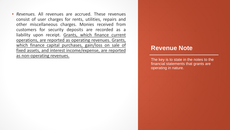▪ *Revenues.* All revenues are accrued. These revenues consist of user charges for rents, utilities, repairs and other miscellaneous charges. Monies received from customers for security deposits are recorded as a liability upon receipt. Grants, which finance current operations, are reported as operating revenues. Grants, which finance capital purchases, gain/loss on sale of fixed assets, and interest income/expense, are reported as non-operating revenues.<br>The key is to state in the notes to the

#### **Revenue Note**

financial statements that grants are operating in nature.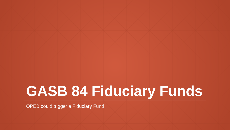## **GASB 84 Fiduciary Funds**

OPEB could trigger a Fiduciary Fund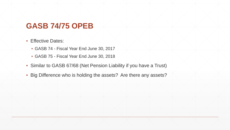#### **GASB 74/75 OPEB**

- **Effective Dates:** 
	- GASB 74 Fiscal Year End June 30, 2017
	- GASB 75 Fiscal Year End June 30, 2018
- **Similar to GASB 67/68 (Net Pension Liability if you have a Trust)**
- **· Big Difference who is holding the assets? Are there any assets?**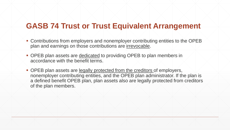#### **GASB 74 Trust or Trust Equivalent Arrangement**

- Contributions from employers and nonemployer contributing entities to the OPEB plan and earnings on those contributions are irrevocable.
- OPEB plan assets are dedicated to providing OPEB to plan members in accordance with the benefit terms.
- OPEB plan assets are legally protected from the creditors of employers, nonemployer contributing entities, and the OPEB plan administrator. If the plan is a defined benefit OPEB plan, plan assets also are legally protected from creditors of the plan members.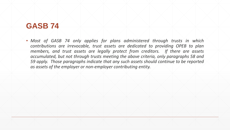#### **GASB 74**

▪ *Most of GASB 74 only applies for plans administered through trusts in which contributions are irrevocable, trust assets are dedicated to providing OPEB to plan members, and trust assets are legally protect from creditors. If there are assets accumulated, but not through trusts meeting the above criteria, only paragraphs 58 and 59 apply. Those paragraphs indicate that any such assets should continue to be reported as assets of the employer or non-employer contributing entity.*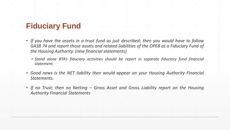#### **Fiduciary Fund**

- *If you have the assets in a trust fund as just described; then you would have to follow GASB 74 and report those assets and related liabilities of the OPEB as a Fiduciary Fund of the Housing Authority. (new financial statements)*
	- *Stand alone BTA's fiduciary activities should be report in separate fiduciary fund financial statement.*
- *Good news is the NET liability then would appear on your Housing Authority Financial Statements.*
- *If no Trust; then no Netting – Gross Asset and Gross Liability report on the Housing Authority Financial Statements*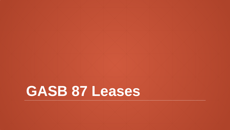## **GASB 87 Leases**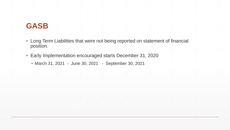#### **GASB**

- **.** Long Term Liabilities that were not being reported on statement of financial position.
- Early Implementation encouraged starts December 31, 2020
	- March 31, 2021 June 30, 2021 September 30, 2021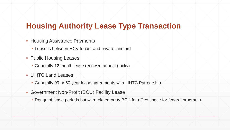#### **Housing Authority Lease Type Transaction**

- **Housing Assistance Payments** 
	- **Lease is between HCV tenant and private landlord**
- Public Housing Leases
	- Generally 12 month lease renewed annual (tricky)
- LIHTC Land Leases
	- Generally 99 or 50 year lease agreements with LIHTC Partnership
- Government Non-Profit (BCU) Facility Lease
	- Range of lease periods but with related party BCU for office space for federal programs.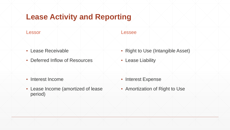#### **Lease Activity and Reporting**

- Lease Receivable
- Deferred Inflow of Resources

- Interest Income
- Lease Income (amortized of lease period)

#### Lessor Alexander Alexander Alexander Alexander Alexander Alexander Alexander Alexander Alexander Alexander Alexander

- Right to Use (Intangible Asset)
- **Lease Liability**

- **Interest Expense**
- **EXECT:** Amortization of Right to Use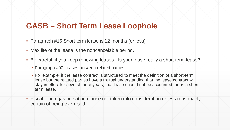#### **GASB – Short Term Lease Loophole**

- Paragraph #16 Short term lease is 12 months (or less)
- Max life of the lease is the noncancelable period.
- Be careful, if you keep renewing leases Is your lease really a short term lease?
	- Paragraph #90 Leases between related parties
	- For example, if the lease contract is structured to meet the definition of a short-term lease but the related parties have a mutual understanding that the lease contract will stay in effect for several more years, that lease should not be accounted for as a shortterm lease.
- Fiscal funding/cancelation clause not taken into consideration unless reasonably certain of being exercised.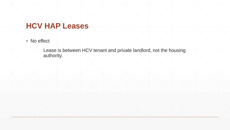#### **HCV HAP Leases**

● No effect

Lease is between HCV tenant and private landlord, not the housing authority.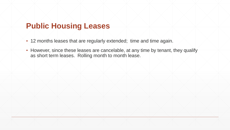#### **Public Housing Leases**

- **.** 12 months leases that are regularly extended; time and time again.
- However, since these leases are cancelable, at any time by tenant, they qualify as short term leases. Rolling month to month lease.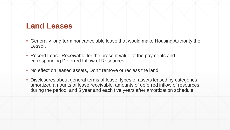#### **Land Leases**

- Generally long term noncancelable lease that would make Housing Authority the Lessor.
- Record Lease Receivable for the present value of the payments and corresponding Deferred Inflow of Resources.
- No effect on leased assets, Don't remove or reclass the land.
- Disclosures about general terms of lease, types of assets leased by categories, amortized amounts of lease receivable, amounts of deferred inflow of resources during the period, and 5 year and each five years after amortization schedule.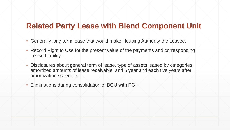#### **Related Party Lease with Blend Component Unit**

- Generally long term lease that would make Housing Authority the Lessee.
- Record Right to Use for the present value of the payments and corresponding Lease Liability.
- Disclosures about general term of lease, type of assets leased by categories, amortized amounts of lease receivable, and 5 year and each five years after amortization schedule.
- Eliminations during consolidation of BCU with PG.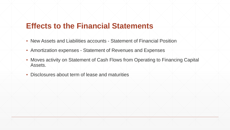#### **Effects to the Financial Statements**

- New Assets and Liabilities accounts Statement of Financial Position
- **Amortization expenses Statement of Revenues and Expenses**
- **Moves activity on Statement of Cash Flows from Operating to Financing Capital** Assets.
- Disclosures about term of lease and maturities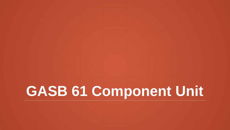## **GASB 61 Component Unit**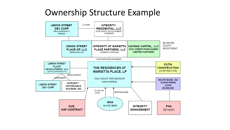### Ownership Structure Example

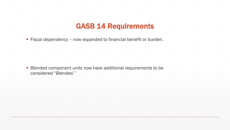#### GASB 14 Requirements

**Fiscal dependency - now expanded to financial benefit or burden.** 

**Blended component units now have additional requirements to be** considered "Blended."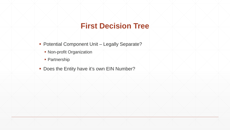#### **First Decision Tree**

- **Potential Component Unit Legally Separate?** 
	- **Non-profit Organization**
	- **Partnership**
- Does the Entity have it's own EIN Number?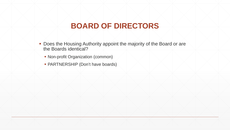#### **BOARD OF DIRECTORS**

- Does the Housing Authority appoint the majority of the Board or are the Boards identical?
	- Non-profit Organization (common)
	- PARTNERSHIP (Don't have boards)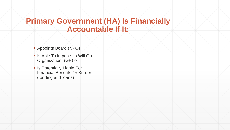#### **Primary Government (HA) Is Financially Accountable If It:**

- Appoints Board (NPO)
- **In Is Able To Impose Its Will On** Organization, (GP) or
- **Is Potentially Liable For** Financial Benefits Or Burden (funding and loans)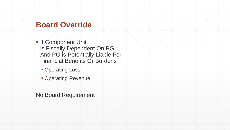#### **Board Override**

**If Component Unit** is Fiscally Dependent On PG And PG is Potentially Liable For Financial Benefits Or Burdens

- **Operating Loss**
- **Operating Revenue**

No Board Requirement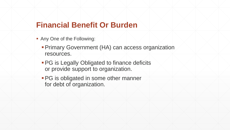#### **Financial Benefit Or Burden**

- **Any One of the Following:** 
	- Primary Government (HA) can access organization resources.
	- **PG** is Legally Obligated to finance deficits or provide support to organization.
	- **PG** is obligated in some other manner for debt of organization.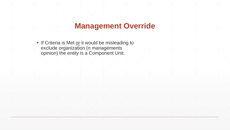#### **Management Override**

If Criteria is Met or it would be misleading to exclude organization (n managements opinion) the entity is a Component Unit.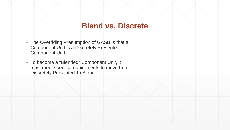#### **Blend vs. Discrete**

- The Overriding Presumption of GASB is that a Component Unit is a Discretely Presented Component Unit.
- To become a "Blended" Component Unit, it must meet specific requirements to move from Discretely Presented To Blend.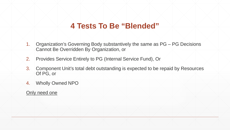#### **4 Tests To Be "Blended"**

- 1. Organization's Governing Body substantively the same as PG PG Decisions Cannot Be Overridden By Organization, or
- 2. Provides Service Entirely to PG (Internal Service Fund), Or
- 3. Component Unit's total debt outstanding is expected to be repaid by Resources Of PG, or
- 4. Wholly Owned NPO

#### Only need one